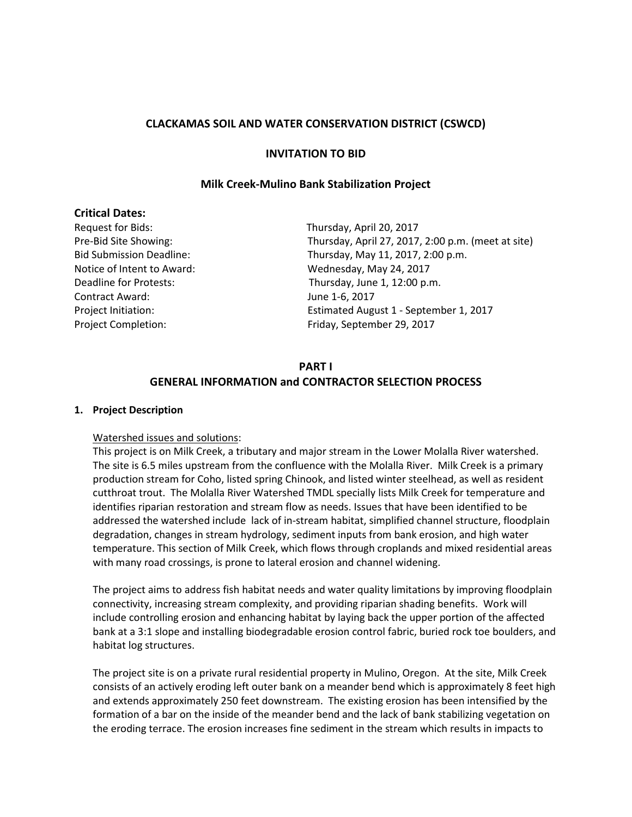### **CLACKAMAS SOIL AND WATER CONSERVATION DISTRICT (CSWCD)**

### **INVITATION TO BID**

### **Milk Creek-Mulino Bank Stabilization Project**

### **Critical Dates:**

Request for Bids: Thursday, April 20, 2017 Notice of Intent to Award: Wednesday, May 24, 2017 Contract Award: June 1-6, 2017 Project Completion: Friday, September 29, 2017

Pre-Bid Site Showing: Thursday, April 27, 2017, 2:00 p.m. (meet at site) Bid Submission Deadline: Thursday, May 11, 2017, 2:00 p.m. Deadline for Protests: Thursday, June 1, 12:00 p.m. Project Initiation: Estimated August 1 - September 1, 2017

#### **PART I**

### **GENERAL INFORMATION and CONTRACTOR SELECTION PROCESS**

#### **1. Project Description**

#### Watershed issues and solutions:

This project is on Milk Creek, a tributary and major stream in the Lower Molalla River watershed. The site is 6.5 miles upstream from the confluence with the Molalla River. Milk Creek is a primary production stream for Coho, listed spring Chinook, and listed winter steelhead, as well as resident cutthroat trout. The Molalla River Watershed TMDL specially lists Milk Creek for temperature and identifies riparian restoration and stream flow as needs. Issues that have been identified to be addressed the watershed include lack of in-stream habitat, simplified channel structure, floodplain degradation, changes in stream hydrology, sediment inputs from bank erosion, and high water temperature. This section of Milk Creek, which flows through croplands and mixed residential areas with many road crossings, is prone to lateral erosion and channel widening.

The project aims to address fish habitat needs and water quality limitations by improving floodplain connectivity, increasing stream complexity, and providing riparian shading benefits. Work will include controlling erosion and enhancing habitat by laying back the upper portion of the affected bank at a 3:1 slope and installing biodegradable erosion control fabric, buried rock toe boulders, and habitat log structures.

The project site is on a private rural residential property in Mulino, Oregon. At the site, Milk Creek consists of an actively eroding left outer bank on a meander bend which is approximately 8 feet high and extends approximately 250 feet downstream. The existing erosion has been intensified by the formation of a bar on the inside of the meander bend and the lack of bank stabilizing vegetation on the eroding terrace. The erosion increases fine sediment in the stream which results in impacts to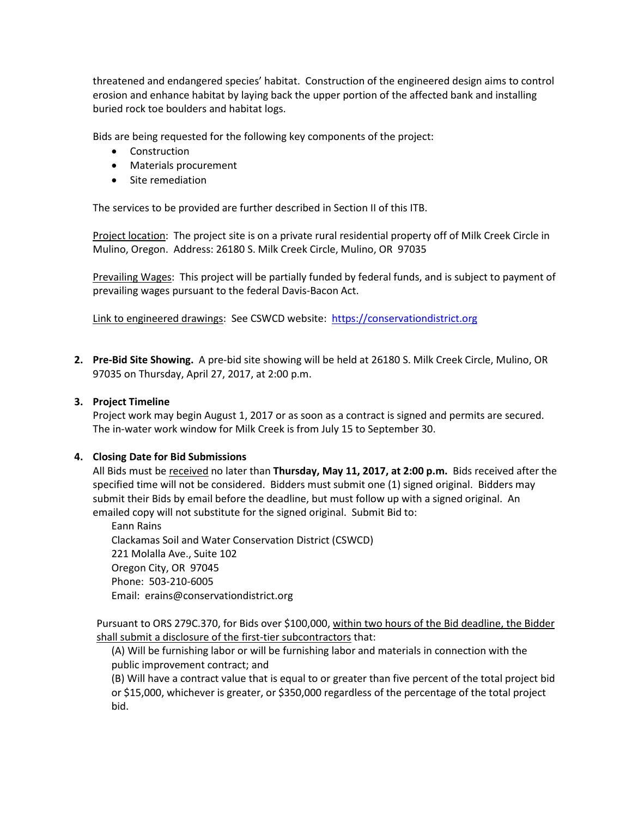threatened and endangered species' habitat. Construction of the engineered design aims to control erosion and enhance habitat by laying back the upper portion of the affected bank and installing buried rock toe boulders and habitat logs.

Bids are being requested for the following key components of the project:

- Construction
- Materials procurement
- Site remediation

The services to be provided are further described in Section II of this ITB.

Project location: The project site is on a private rural residential property off of Milk Creek Circle in Mulino, Oregon. Address: 26180 S. Milk Creek Circle, Mulino, OR 97035

Prevailing Wages: This project will be partially funded by federal funds, and is subject to payment of prevailing wages pursuant to the federal Davis-Bacon Act.

Link to engineered drawings: See CSWCD website: [https://conservationdistrict.org](https://conservationdistrict.org/)

**2. Pre-Bid Site Showing.** A pre-bid site showing will be held at 26180 S. Milk Creek Circle, Mulino, OR 97035 on Thursday, April 27, 2017, at 2:00 p.m.

#### **3. Project Timeline**

Project work may begin August 1, 2017 or as soon as a contract is signed and permits are secured. The in-water work window for Milk Creek is from July 15 to September 30.

#### **4. Closing Date for Bid Submissions**

All Bids must be received no later than **Thursday, May 11, 2017, at 2:00 p.m.** Bids received after the specified time will not be considered. Bidders must submit one (1) signed original. Bidders may submit their Bids by email before the deadline, but must follow up with a signed original. An emailed copy will not substitute for the signed original. Submit Bid to:

Eann Rains Clackamas Soil and Water Conservation District (CSWCD) 221 Molalla Ave., Suite 102 Oregon City, OR 97045 Phone: 503-210-6005 Email: erains@conservationdistrict.org

Pursuant to ORS 279C.370, for Bids over \$100,000, within two hours of the Bid deadline, the Bidder shall submit a disclosure of the first-tier subcontractors that:

(A) Will be furnishing labor or will be furnishing labor and materials in connection with the public improvement contract; and

(B) Will have a contract value that is equal to or greater than five percent of the total project bid or \$15,000, whichever is greater, or \$350,000 regardless of the percentage of the total project bid.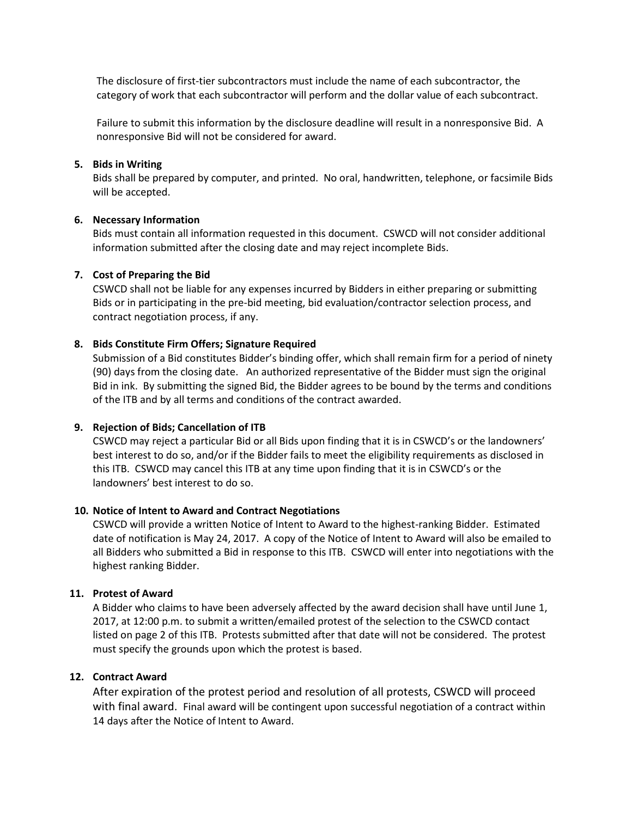The disclosure of first-tier subcontractors must include the name of each subcontractor, the category of work that each subcontractor will perform and the dollar value of each subcontract.

Failure to submit this information by the disclosure deadline will result in a nonresponsive Bid. A nonresponsive Bid will not be considered for award.

#### **5. Bids in Writing**

Bids shall be prepared by computer, and printed. No oral, handwritten, telephone, or facsimile Bids will be accepted.

### **6. Necessary Information**

Bids must contain all information requested in this document. CSWCD will not consider additional information submitted after the closing date and may reject incomplete Bids.

### **7. Cost of Preparing the Bid**

CSWCD shall not be liable for any expenses incurred by Bidders in either preparing or submitting Bids or in participating in the pre-bid meeting, bid evaluation/contractor selection process, and contract negotiation process, if any.

### **8. Bids Constitute Firm Offers; Signature Required**

Submission of a Bid constitutes Bidder's binding offer, which shall remain firm for a period of ninety (90) days from the closing date. An authorized representative of the Bidder must sign the original Bid in ink. By submitting the signed Bid, the Bidder agrees to be bound by the terms and conditions of the ITB and by all terms and conditions of the contract awarded.

### **9. Rejection of Bids; Cancellation of ITB**

CSWCD may reject a particular Bid or all Bids upon finding that it is in CSWCD's or the landowners' best interest to do so, and/or if the Bidder fails to meet the eligibility requirements as disclosed in this ITB. CSWCD may cancel this ITB at any time upon finding that it is in CSWCD's or the landowners' best interest to do so.

### **10. Notice of Intent to Award and Contract Negotiations**

CSWCD will provide a written Notice of Intent to Award to the highest-ranking Bidder. Estimated date of notification is May 24, 2017. A copy of the Notice of Intent to Award will also be emailed to all Bidders who submitted a Bid in response to this ITB. CSWCD will enter into negotiations with the highest ranking Bidder.

### **11. Protest of Award**

A Bidder who claims to have been adversely affected by the award decision shall have until June 1, 2017, at 12:00 p.m. to submit a written/emailed protest of the selection to the CSWCD contact listed on page 2 of this ITB. Protests submitted after that date will not be considered. The protest must specify the grounds upon which the protest is based.

### **12. Contract Award**

After expiration of the protest period and resolution of all protests, CSWCD will proceed with final award. Final award will be contingent upon successful negotiation of a contract within 14 days after the Notice of Intent to Award.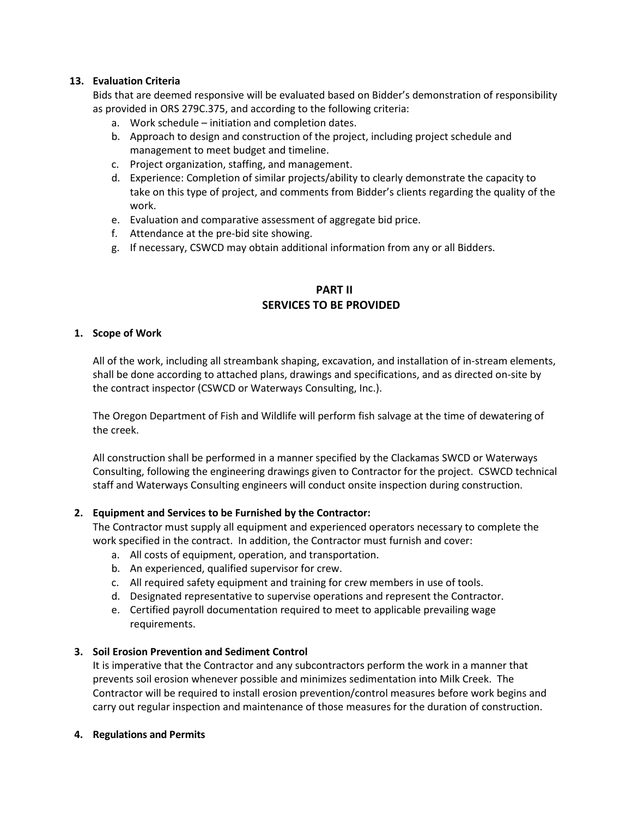### **13. Evaluation Criteria**

Bids that are deemed responsive will be evaluated based on Bidder's demonstration of responsibility as provided in ORS 279C.375, and according to the following criteria:

- a. Work schedule initiation and completion dates.
- b. Approach to design and construction of the project, including project schedule and management to meet budget and timeline.
- c. Project organization, staffing, and management.
- d. Experience: Completion of similar projects/ability to clearly demonstrate the capacity to take on this type of project, and comments from Bidder's clients regarding the quality of the work.
- e. Evaluation and comparative assessment of aggregate bid price.
- f. Attendance at the pre-bid site showing.
- g. If necessary, CSWCD may obtain additional information from any or all Bidders.

# **PART II SERVICES TO BE PROVIDED**

### **1. Scope of Work**

All of the work, including all streambank shaping, excavation, and installation of in-stream elements, shall be done according to attached plans, drawings and specifications, and as directed on-site by the contract inspector (CSWCD or Waterways Consulting, Inc.).

The Oregon Department of Fish and Wildlife will perform fish salvage at the time of dewatering of the creek.

All construction shall be performed in a manner specified by the Clackamas SWCD or Waterways Consulting, following the engineering drawings given to Contractor for the project. CSWCD technical staff and Waterways Consulting engineers will conduct onsite inspection during construction.

### **2. Equipment and Services to be Furnished by the Contractor:**

The Contractor must supply all equipment and experienced operators necessary to complete the work specified in the contract. In addition, the Contractor must furnish and cover:

- a. All costs of equipment, operation, and transportation.
- b. An experienced, qualified supervisor for crew.
- c. All required safety equipment and training for crew members in use of tools.
- d. Designated representative to supervise operations and represent the Contractor.
- e. Certified payroll documentation required to meet to applicable prevailing wage requirements.

## **3. Soil Erosion Prevention and Sediment Control**

It is imperative that the Contractor and any subcontractors perform the work in a manner that prevents soil erosion whenever possible and minimizes sedimentation into Milk Creek. The Contractor will be required to install erosion prevention/control measures before work begins and carry out regular inspection and maintenance of those measures for the duration of construction.

### **4. Regulations and Permits**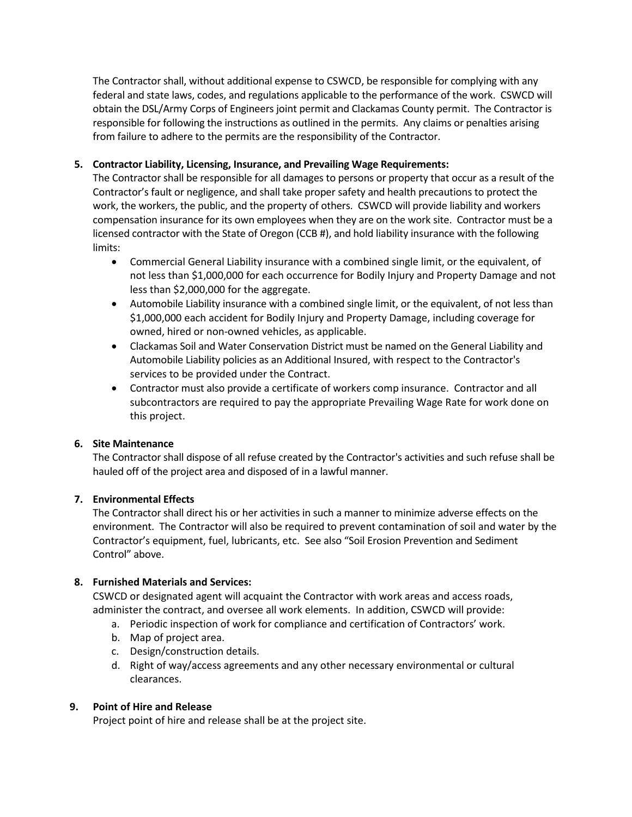The Contractor shall, without additional expense to CSWCD, be responsible for complying with any federal and state laws, codes, and regulations applicable to the performance of the work. CSWCD will obtain the DSL/Army Corps of Engineers joint permit and Clackamas County permit. The Contractor is responsible for following the instructions as outlined in the permits. Any claims or penalties arising from failure to adhere to the permits are the responsibility of the Contractor.

## **5. Contractor Liability, Licensing, Insurance, and Prevailing Wage Requirements:**

The Contractor shall be responsible for all damages to persons or property that occur as a result of the Contractor's fault or negligence, and shall take proper safety and health precautions to protect the work, the workers, the public, and the property of others. CSWCD will provide liability and workers compensation insurance for its own employees when they are on the work site. Contractor must be a licensed contractor with the State of Oregon (CCB #), and hold liability insurance with the following limits:

- Commercial General Liability insurance with a combined single limit, or the equivalent, of not less than \$1,000,000 for each occurrence for Bodily Injury and Property Damage and not less than \$2,000,000 for the aggregate.
- Automobile Liability insurance with a combined single limit, or the equivalent, of not less than \$1,000,000 each accident for Bodily Injury and Property Damage, including coverage for owned, hired or non-owned vehicles, as applicable.
- Clackamas Soil and Water Conservation District must be named on the General Liability and Automobile Liability policies as an Additional Insured, with respect to the Contractor's services to be provided under the Contract.
- Contractor must also provide a certificate of workers comp insurance. Contractor and all subcontractors are required to pay the appropriate Prevailing Wage Rate for work done on this project.

## **6. Site Maintenance**

The Contractor shall dispose of all refuse created by the Contractor's activities and such refuse shall be hauled off of the project area and disposed of in a lawful manner.

### **7. Environmental Effects**

The Contractor shall direct his or her activities in such a manner to minimize adverse effects on the environment. The Contractor will also be required to prevent contamination of soil and water by the Contractor's equipment, fuel, lubricants, etc. See also "Soil Erosion Prevention and Sediment Control" above.

## **8. Furnished Materials and Services:**

CSWCD or designated agent will acquaint the Contractor with work areas and access roads, administer the contract, and oversee all work elements. In addition, CSWCD will provide:

- a. Periodic inspection of work for compliance and certification of Contractors' work.
- b. Map of project area.
- c. Design/construction details.
- d. Right of way/access agreements and any other necessary environmental or cultural clearances.

## **9. Point of Hire and Release**

Project point of hire and release shall be at the project site.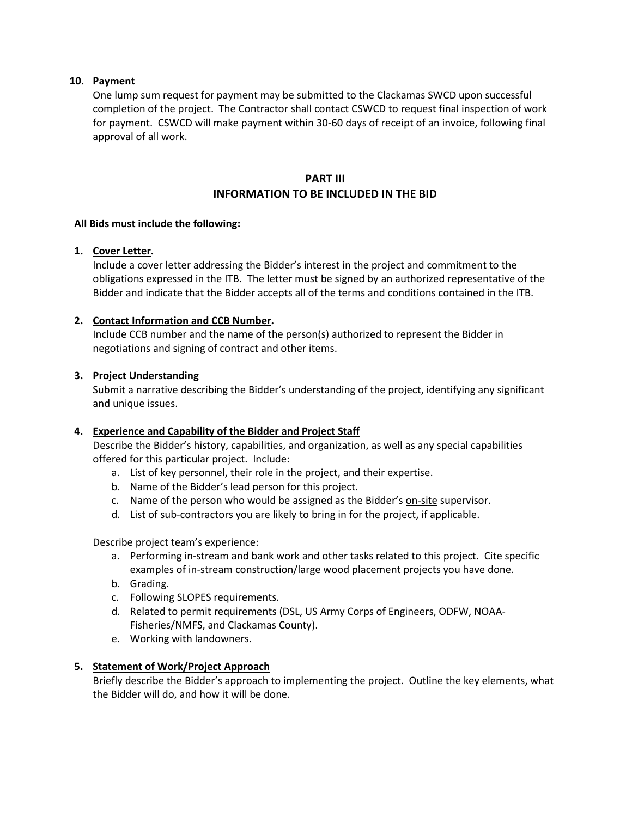### **10. Payment**

One lump sum request for payment may be submitted to the Clackamas SWCD upon successful completion of the project. The Contractor shall contact CSWCD to request final inspection of work for payment. CSWCD will make payment within 30-60 days of receipt of an invoice, following final approval of all work.

# **PART III INFORMATION TO BE INCLUDED IN THE BID**

### **All Bids must include the following:**

### **1. Cover Letter.**

Include a cover letter addressing the Bidder's interest in the project and commitment to the obligations expressed in the ITB. The letter must be signed by an authorized representative of the Bidder and indicate that the Bidder accepts all of the terms and conditions contained in the ITB.

### **2. Contact Information and CCB Number.**

Include CCB number and the name of the person(s) authorized to represent the Bidder in negotiations and signing of contract and other items.

### **3. Project Understanding**

Submit a narrative describing the Bidder's understanding of the project, identifying any significant and unique issues.

### **4. Experience and Capability of the Bidder and Project Staff**

Describe the Bidder's history, capabilities, and organization, as well as any special capabilities offered for this particular project. Include:

- a. List of key personnel, their role in the project, and their expertise.
- b. Name of the Bidder's lead person for this project.
- c. Name of the person who would be assigned as the Bidder's on-site supervisor.
- d. List of sub-contractors you are likely to bring in for the project, if applicable.

Describe project team's experience:

- a. Performing in-stream and bank work and other tasks related to this project. Cite specific examples of in-stream construction/large wood placement projects you have done.
- b. Grading.
- c. Following SLOPES requirements.
- d. Related to permit requirements (DSL, US Army Corps of Engineers, ODFW, NOAA-Fisheries/NMFS, and Clackamas County).
- e. Working with landowners.

### **5. Statement of Work/Project Approach**

Briefly describe the Bidder's approach to implementing the project. Outline the key elements, what the Bidder will do, and how it will be done.